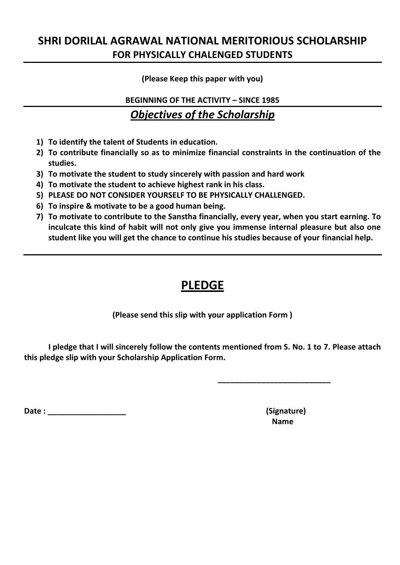## **SHRI DORILAL AGRAWAL NATIONAL MERITORIOUS SCHOLARSHIP FOR PHYSICALLY CHALENGED STUDENTS**

**(Please Keep this paper with you)**

**BEGINNING OF THE ACTIVITY – SINCE 1985**

### *Objectives of the Scholarship*

- **1) To identify the talent of Students in education.**
- **2) To contribute financially so as to minimize financial constraints in the continuation of the studies.**
- **3) To motivate the student to study sincerely with passion and hard work**
- **4) To motivate the student to achieve highest rank in his class.**
- **5) PLEASE DO NOT CONSIDER YOURSELF TO BE PHYSICALLY CHALLENGED.**
- **6) To inspire & motivate to be a good human being.**
- **7) To motivate to contribute to the Sanstha financially, every year, when you start earning. To inculcate this kind of habit will not only give you immense internal pleasure but also one student like you will get the chance to continue his studies because of your financial help.**

# **PLEDGE**

**(Please send this slip with your application Form )**

**I pledge that I will sincerely follow the contents mentioned from S. No. 1 to 7. Please attach this pledge slip with your Scholarship Application Form.**

**Date : \_\_\_\_\_\_\_\_\_\_\_\_\_\_\_\_\_\_ (Signature)**

 **Name**

**\_\_\_\_\_\_\_\_\_\_\_\_\_\_\_\_\_\_\_\_\_\_\_\_\_\_**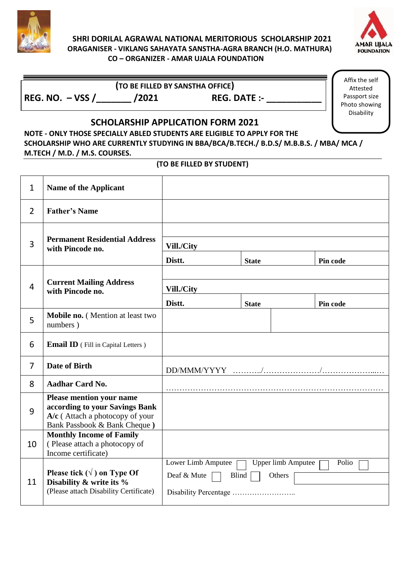

#### **SHRI DORILAL AGRAWAL NATIONAL MERITORIOUS SCHOLARSHIP 2021 ORAGANISER - VIKLANG SAHAYATA SANSTHA-AGRA BRANCH (H.O. MATHURA) CO – ORGANIZER - AMAR UJALA FOUNDATION**



**REG. NO. – VSS /\_\_\_\_\_\_\_ /2021 REG. DATE :- \_\_\_\_\_\_\_\_\_\_\_**

**(TO BE FILLED BY SANSTHA OFFICE)**

Affix the self Attested Passport size Photo showing Disability

### **SCHOLARSHIP APPLICATION FORM 2021**

**NOTE - ONLY THOSE SPECIALLY ABLED STUDENTS ARE ELIGIBLE TO APPLY FOR THE SCHOLARSHIP WHO ARE CURRENTLY STUDYING IN BBA/BCA/B.TECH./ B.D.S/ M.B.B.S. / MBA/ MCA / M.TECH / M.D. / M.S. COURSES.**

#### **(TO BE FILLED BY STUDENT)**

| $\mathbf{1}$   | <b>Name of the Applicant</b>                                                                                                           |                                |                           |          |  |
|----------------|----------------------------------------------------------------------------------------------------------------------------------------|--------------------------------|---------------------------|----------|--|
| $\overline{2}$ | <b>Father's Name</b>                                                                                                                   |                                |                           |          |  |
| 3              |                                                                                                                                        |                                |                           |          |  |
|                | <b>Permanent Residential Address</b><br>with Pincode no.                                                                               | Vill./City                     |                           |          |  |
|                |                                                                                                                                        | Distt.                         | <b>State</b>              | Pin code |  |
| $\overline{4}$ |                                                                                                                                        |                                |                           |          |  |
|                | <b>Current Mailing Address</b><br>with Pincode no.                                                                                     | Vill./City                     |                           |          |  |
|                |                                                                                                                                        | Distt.                         | <b>State</b>              | Pin code |  |
| 5              | Mobile no. (Mention at least two<br>numbers)                                                                                           |                                |                           |          |  |
| 6              | Email ID (Fill in Capital Letters)                                                                                                     |                                |                           |          |  |
| $\overline{7}$ | <b>Date of Birth</b>                                                                                                                   |                                |                           |          |  |
| 8              | <b>Aadhar Card No.</b>                                                                                                                 |                                |                           |          |  |
| 9              | <b>Please mention your name</b><br>according to your Savings Bank<br>$A/c$ (Attach a photocopy of your<br>Bank Passbook & Bank Cheque) |                                |                           |          |  |
| 10             | <b>Monthly Income of Family</b><br>(Please attach a photocopy of<br>Income certificate)                                                |                                |                           |          |  |
| 11             |                                                                                                                                        | Lower Limb Amputee             | <b>Upper limb Amputee</b> | Polio    |  |
|                | Please tick $(\sqrt{})$ on Type Of<br>Disability & write its %                                                                         | Deaf & Mute<br>Blind<br>Others |                           |          |  |
|                | (Please attach Disability Certificate)                                                                                                 |                                |                           |          |  |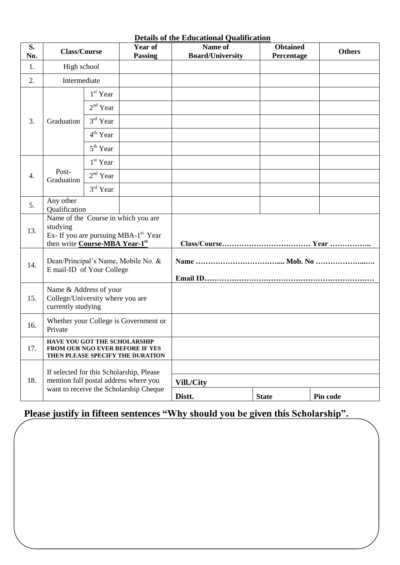| <b>Details of the Educational Qualification</b> |                                                                                                                                       |            |                                  |                                    |                               |               |  |
|-------------------------------------------------|---------------------------------------------------------------------------------------------------------------------------------------|------------|----------------------------------|------------------------------------|-------------------------------|---------------|--|
| S.<br>No.                                       | <b>Class/Course</b>                                                                                                                   |            | <b>Year of</b><br><b>Passing</b> | Name of<br><b>Board/University</b> | <b>Obtained</b><br>Percentage | <b>Others</b> |  |
| 1.                                              | High school                                                                                                                           |            |                                  |                                    |                               |               |  |
| 2.                                              | Intermediate                                                                                                                          |            |                                  |                                    |                               |               |  |
| 3.                                              | Graduation                                                                                                                            | $1st$ Year |                                  |                                    |                               |               |  |
|                                                 |                                                                                                                                       | $2nd$ Year |                                  |                                    |                               |               |  |
|                                                 |                                                                                                                                       | $3rd$ Year |                                  |                                    |                               |               |  |
|                                                 |                                                                                                                                       | $4th$ Year |                                  |                                    |                               |               |  |
|                                                 |                                                                                                                                       | $5th$ Year |                                  |                                    |                               |               |  |
|                                                 | Post-<br>Graduation                                                                                                                   | $1st$ Year |                                  |                                    |                               |               |  |
| 4.                                              |                                                                                                                                       | $2nd$ Year |                                  |                                    |                               |               |  |
|                                                 |                                                                                                                                       | 3rd Year   |                                  |                                    |                               |               |  |
| 5.                                              | Any other<br>Qualification                                                                                                            |            |                                  |                                    |                               |               |  |
| 13.                                             | Name of the Course in which you are<br>studying<br>Ex- If you are pursuing MBA-1 <sup>st</sup> Year<br>then write Course-MBA Year-1st |            |                                  |                                    |                               |               |  |
| 14.                                             | Dean/Principal's Name, Mobile No. &<br>E mail-ID of Your College                                                                      |            |                                  |                                    |                               |               |  |
| 15.                                             | Name & Address of your<br>College/University where you are<br>currently studying                                                      |            |                                  |                                    |                               |               |  |
| 16.                                             | Whether your College is Government or<br>Private                                                                                      |            |                                  |                                    |                               |               |  |
| 17.                                             | HAVE YOU GOT THE SCHOLARSHIP<br>FROM OUR NGO EVER BEFORE IF YES<br>THEN PLEASE SPECIFY THE DURATION                                   |            |                                  |                                    |                               |               |  |
| 18.                                             | If selected for this Scholarship, Please<br>mention full postal address where you<br>want to receive the Scholarship Cheque           |            |                                  |                                    |                               |               |  |
|                                                 |                                                                                                                                       |            | Vill./City                       |                                    |                               |               |  |
|                                                 |                                                                                                                                       |            | Distt.                           | <b>State</b>                       | Pin code                      |               |  |

# **Please justify in fifteen sentences "Why should you be given this Scholarship".**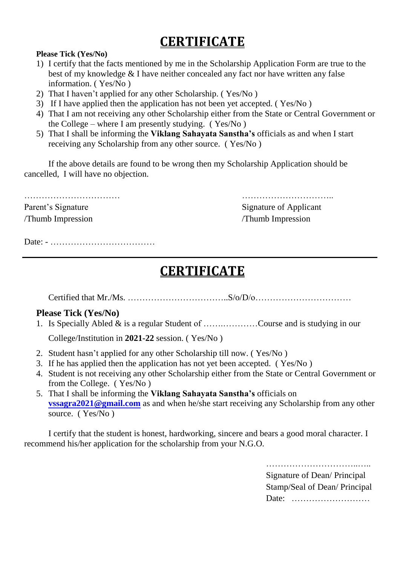# **CERTIFICATE**

#### **Please Tick (Yes/No)**

- 1) I certify that the facts mentioned by me in the Scholarship Application Form are true to the best of my knowledge & I have neither concealed any fact nor have written any false information. ( Yes/No )
- 2) That I haven't applied for any other Scholarship. ( Yes/No )
- 3) If I have applied then the application has not been yet accepted. ( Yes/No )
- 4) That I am not receiving any other Scholarship either from the State or Central Government or the College – where I am presently studying. ( Yes/No )
- 5) That I shall be informing the **Viklang Sahayata Sanstha's** officials as and when I start receiving any Scholarship from any other source. ( Yes/No )

If the above details are found to be wrong then my Scholarship Application should be cancelled, I will have no objection.

Parent's Signature Signature Signature of Applicant /Thumb Impression /Thumb Impression

…………………………… …………………………..

Date: - ………………………………

# **CERTIFICATE**

Certified that Mr./Ms.  $\ldots$   $\ldots$   $\ldots$   $\ldots$   $\ldots$   $\ldots$   $\ldots$   $\ldots$   $\ldots$   $\ldots$   $\ldots$   $\ldots$   $\ldots$ 

#### **Please Tick (Yes/No)**

1. Is Specially Abled & is a regular Student of …….…………Course and is studying in our

College/Institution in **2021-22** session. ( Yes/No )

- 2. Student hasn't applied for any other Scholarship till now. ( Yes/No )
- 3. If he has applied then the application has not yet been accepted. ( Yes/No )
- 4. Student is not receiving any other Scholarship either from the State or Central Government or from the College. ( Yes/No )
- 5. That I shall be informing the **Viklang Sahayata Sanstha's** officials on **[vssagra2021@gmail.com](mailto:vssagra2021@gmail.com)** as and when he/she start receiving any Scholarship from any other source. (Yes/No)

I certify that the student is honest, hardworking, sincere and bears a good moral character. I recommend his/her application for the scholarship from your N.G.O.

> ………………………………………… Signature of Dean/ Principal Stamp/Seal of Dean/ Principal Date: ………………………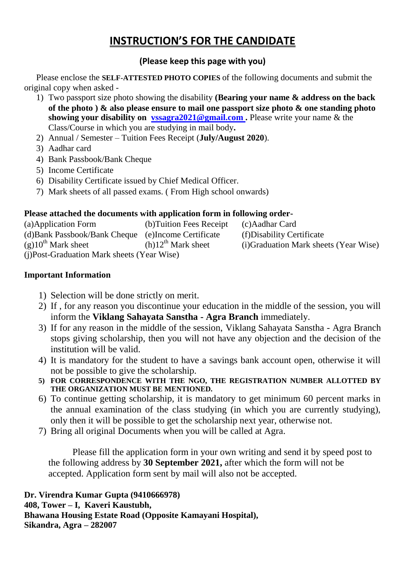# **INSTRUCTION'S FOR THE CANDIDATE**

#### **(Please keep this page with you)**

Please enclose the **SELF-ATTESTED PHOTO COPIES** of the following documents and submit the original copy when asked -

- 1) Two passport size photo showing the disability **(Bearing your name & address on the back of the photo ) & also please ensure to mail one passport size photo & one standing photo showing your disability on [vssagra2021@gmail.com](mailto:vssagra2021@gmail.com) .** Please write your name & the Class/Course in which you are studying in mail body**.**
- 2) Annual / Semester Tuition Fees Receipt (**July/August 2020**).
- 3) Aadhar card
- 4) Bank Passbook/Bank Cheque
- 5) Income Certificate
- 6) Disability Certificate issued by Chief Medical Officer.
- 7) Mark sheets of all passed exams. ( From High school onwards)

#### **Please attached the documents with application form in following order-**

| (a)Application Form                         | (b) Tuition Fees Receipt | (c) Aadhar Card                        |  |  |  |  |
|---------------------------------------------|--------------------------|----------------------------------------|--|--|--|--|
| (d) Bank Passbook/Bank Cheque               | (e)Income Certificate    | (f) Disability Certificate             |  |  |  |  |
| $(g)10^{th}$ Mark sheet                     | $(h)12^{th}$ Mark sheet  | (i) Graduation Mark sheets (Year Wise) |  |  |  |  |
| (i) Post-Graduation Mark sheets (Year Wise) |                          |                                        |  |  |  |  |

#### **Important Information**

- 1) Selection will be done strictly on merit.
- 2) If , for any reason you discontinue your education in the middle of the session, you will inform the **Viklang Sahayata Sanstha - Agra Branch** immediately.
- 3) If for any reason in the middle of the session, Viklang Sahayata Sanstha Agra Branch stops giving scholarship, then you will not have any objection and the decision of the institution will be valid.
- 4) It is mandatory for the student to have a savings bank account open, otherwise it will not be possible to give the scholarship.
- **5) FOR CORRESPONDENCE WITH THE NGO, THE REGISTRATION NUMBER ALLOTTED BY THE ORGANIZATION MUST BE MENTIONED.**
- 6) To continue getting scholarship, it is mandatory to get minimum 60 percent marks in the annual examination of the class studying (in which you are currently studying), only then it will be possible to get the scholarship next year, otherwise not.
- 7) Bring all original Documents when you will be called at Agra.

Please fill the application form in your own writing and send it by speed post to the following address by **30 September 2021,** after which the form will not be accepted. Application form sent by mail will also not be accepted.

**Dr. Virendra Kumar Gupta (9410666978) 408, Tower – I, Kaveri Kaustubh, Bhawana Housing Estate Road (Opposite Kamayani Hospital), Sikandra, Agra – 282007**